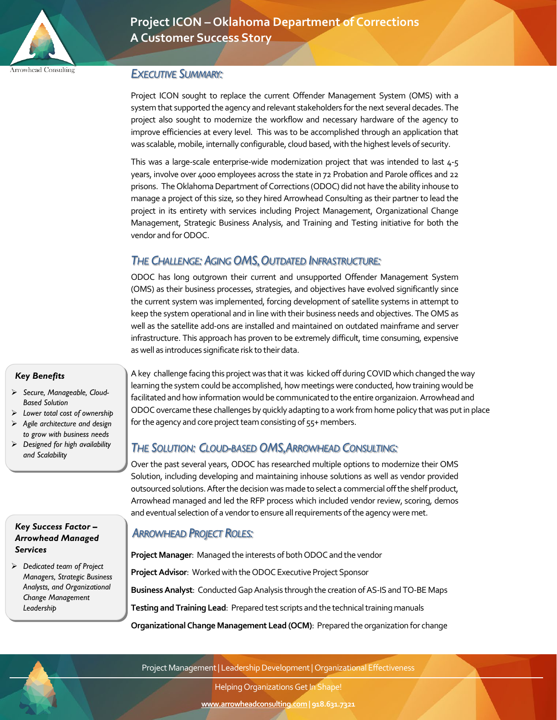

# **Project ICON – Oklahoma Department of Corrections A Customer Success Story**

**Arrowhead Consulting** 

### *EXECUTIVE SUMMARY:*

Project ICON sought to replace the current Offender Management System (OMS) with a system that supported the agency and relevant stakeholders for the next several decades. The project also sought to modernize the workflow and necessary hardware of the agency to improve efficiencies at every level. This was to be accomplished through an application that was scalable, mobile, internally configurable, cloud based, with the highest levels of security.

This was a large-scale enterprise-wide modernization project that was intended to last 4-5 years, involve over 4000 employees across the state in 72 Probation and Parole offices and 22 prisons. The Oklahoma Department of Corrections (ODOC) did not have the ability inhouse to manage a project of this size, so they hired Arrowhead Consulting as their partner to lead the project in its entirety with services including Project Management, Organizational Change Management, Strategic Business Analysis, and Training and Testing initiative for both the vendor and for ODOC.

### *THE CHALLENGE: AGING OMS,OUTDATED INFRASTRUCTURE:*

ODOC has long outgrown their current and unsupported Offender Management System (OMS) as their business processes, strategies, and objectives have evolved significantly since the current system was implemented, forcing development of satellite systems in attempt to keep the system operational and in line with their business needs and objectives. The OMS as well as the satellite add-ons are installed and maintained on outdated mainframe and server infrastructure. This approach has proven to be extremely difficult, time consuming, expensive as well as introduces significate risk to their data.

#### *Key Benefits*

- *Secure, Manageable, Cloud-Based Solution*
- *Lower total cost of ownership Agile architecture and design to grow with business needs*
- *Designed for high availability and Scalability*

### *Key Success Factor – Arrowhead Managed Services*

 *Dedicated team of Project Managers, Strategic Business Analysts, and Organizational Change Management Leadership*

Akey challenge facing this project was that it was kicked off during COVID which changed the way learning the system could be accomplished, how meetings were conducted, how training would be facilitated and how information would be communicated to the entire organizaion. Arrowhead and ODOC overcame these challenges by quickly adapting to a work from home policy that was put in place for the agency and core project team consisting of 55+ members.

## *THE SOLUTION: CLOUD-BASED OMS,ARROWHEAD CONSULTING:*

Over the past several years, ODOC has researched multiple options to modernize their OMS Solution, including developing and maintaining inhouse solutions as well as vendor provided outsourced solutions. After the decision was made to select a commercial off the shelf product, Arrowhead managed and led the RFP process which included vendor review, scoring, demos and eventual selection of a vendor to ensure all requirements of the agency were met.

# *ARROWHEAD PROJECT ROLES:*

**Project Manager**: Managed the interests of both ODOC and the vendor

**Project Advisor**: Worked with the ODOC Executive Project Sponsor

**Business Analyst**: Conducted Gap Analysis through the creation of AS-IS and TO-BE Maps

**Testing and Training Lead**: Prepared test scripts and the technical training manuals

**Organizational Change Management Lead (OCM)**: Prepared the organization for change

Project Management | Leadership Development | Organizational Effectiveness

Helping Organizations Get In Shape!

**[www.arrowheadconsulting.com|](http://www.arrowheadconsulting.com/) 918.631.7321**